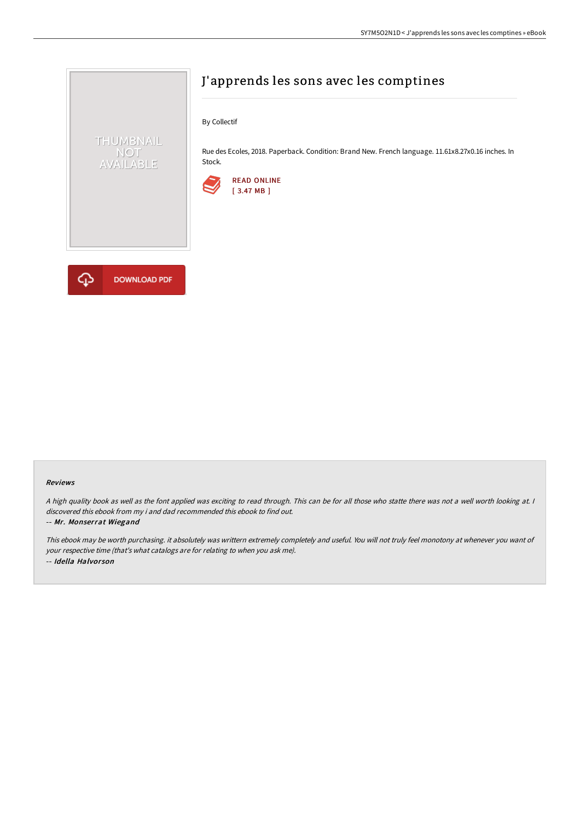

# J'apprends les sons avec les comptines

Rue des Ecoles, 2018. Paperback. Condition: Brand New. French language. 11.61x8.27x0.16 inches. In



#### Reviews

A high quality book as well as the font applied was exciting to read through. This can be for all those who statte there was not a well worth looking at. I discovered this ebook from my i and dad recommended this ebook to find out.

#### -- Mr. Monserrat Wiegand

This ebook may be worth purchasing. it absolutely was writtern extremely completely and useful. You will not truly feel monotony at whenever you want of your respective time (that's what catalogs are for relating to when you ask me). -- Idella Halvor son